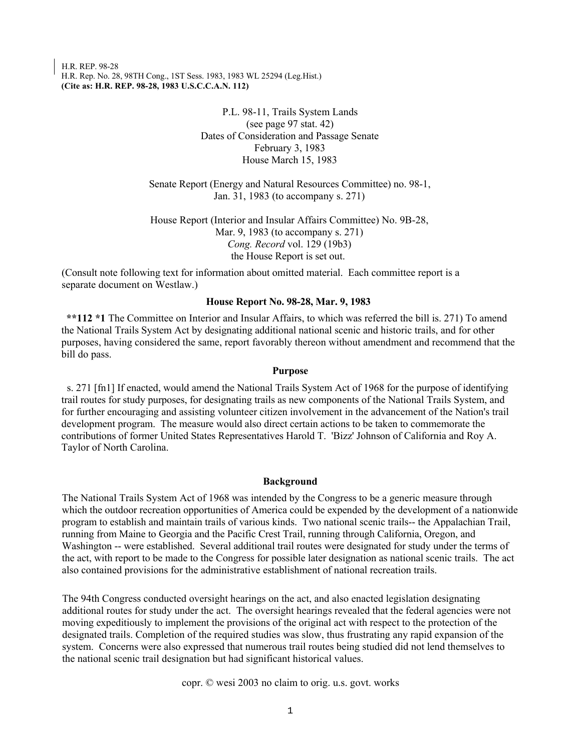H.R. REP. 98-28 H.R. Rep. No. 28, 98TH Cong., 1ST Sess. 1983, 1983 WL 25294 (Leg.Hist.) **(Cite as: H.R. REP. 98-28, 1983 U.S.C.C.A.N. 112)**

> P.L. 98-11, Trails System Lands (see page 97 stat. 42) Dates of Consideration and Passage Senate February 3, 1983 House March 15, 1983

Senate Report (Energy and Natural Resources Committee) no. 98-1, Jan. 31, 1983 (to accompany s. 271)

House Report (Interior and Insular Affairs Committee) No. 9B-28, Mar. 9, 1983 (to accompany s. 271) *Cong. Record* vol. 129 (19b3) the House Report is set out.

(Consult note following text for information about omitted material. Each committee report is a separate document on Westlaw.)

## **House Report No. 98-28, Mar. 9, 1983**

**\*\*112 \*1** The Committee on Interior and Insular Affairs, to which was referred the bill is. 271) To amend the National Trails System Act by designating additional national scenic and historic trails, and for other purposes, having considered the same, report favorably thereon without amendment and recommend that the bill do pass.

## **Purpose**

s. 271 [fn1] If enacted, would amend the National Trails System Act of 1968 for the purpose of identifying trail routes for study purposes, for designating trails as new components of the National Trails System, and for further encouraging and assisting volunteer citizen involvement in the advancement of the Nation's trail development program. The measure would also direct certain actions to be taken to commemorate the contributions of former United States Representatives Harold T. 'Bizz' Johnson of California and Roy A. Taylor of North Carolina.

#### **Background**

The National Trails System Act of 1968 was intended by the Congress to be a generic measure through which the outdoor recreation opportunities of America could be expended by the development of a nationwide program to establish and maintain trails of various kinds. Two national scenic trails-- the Appalachian Trail, running from Maine to Georgia and the Pacific Crest Trail, running through California, Oregon, and Washington -- were established. Several additional trail routes were designated for study under the terms of the act, with report to be made to the Congress for possible later designation as national scenic trails. The act also contained provisions for the administrative establishment of national recreation trails.

The 94th Congress conducted oversight hearings on the act, and also enacted legislation designating additional routes for study under the act. The oversight hearings revealed that the federal agencies were not moving expeditiously to implement the provisions of the original act with respect to the protection of the designated trails. Completion of the required studies was slow, thus frustrating any rapid expansion of the system. Concerns were also expressed that numerous trail routes being studied did not lend themselves to the national scenic trail designation but had significant historical values.

copr. © wesi 2003 no claim to orig. u.s. govt. works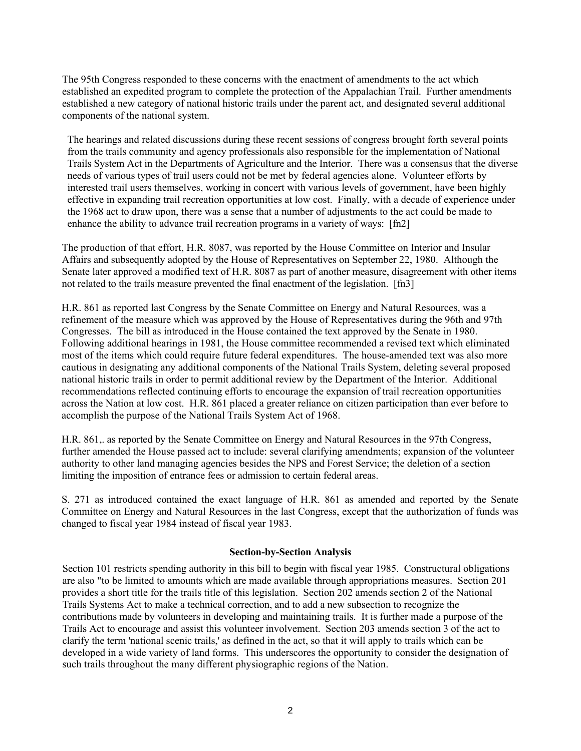The 95th Congress responded to these concerns with the enactment of amendments to the act which established an expedited program to complete the protection of the Appalachian Trail. Further amendments established a new category of national historic trails under the parent act, and designated several additional components of the national system.

The hearings and related discussions during these recent sessions of congress brought forth several points from the trails community and agency professionals also responsible for the implementation of National Trails System Act in the Departments of Agriculture and the Interior. There was a consensus that the diverse needs of various types of trail users could not be met by federal agencies alone. Volunteer efforts by interested trail users themselves, working in concert with various levels of government, have been highly effective in expanding trail recreation opportunities at low cost. Finally, with a decade of experience under the 1968 act to draw upon, there was a sense that a number of adjustments to the act could be made to enhance the ability to advance trail recreation programs in a variety of ways: [fn2]

The production of that effort, H.R. 8087, was reported by the House Committee on Interior and Insular Affairs and subsequently adopted by the House of Representatives on September 22, 1980. Although the Senate later approved a modified text of H.R. 8087 as part of another measure, disagreement with other items not related to the trails measure prevented the final enactment of the legislation. [fn3]

H.R. 861 as reported last Congress by the Senate Committee on Energy and Natural Resources, was a refinement of the measure which was approved by the House of Representatives during the 96th and 97th Congresses. The bill as introduced in the House contained the text approved by the Senate in 1980. Following additional hearings in 1981, the House committee recommended a revised text which eliminated most of the items which could require future federal expenditures. The house-amended text was also more cautious in designating any additional components of the National Trails System, deleting several proposed national historic trails in order to permit additional review by the Department of the Interior. Additional recommendations reflected continuing efforts to encourage the expansion of trail recreation opportunities across the Nation at low cost. H.R. 861 placed a greater reliance on citizen participation than ever before to accomplish the purpose of the National Trails System Act of 1968.

H.R. 861,. as reported by the Senate Committee on Energy and Natural Resources in the 97th Congress, further amended the House passed act to include: several clarifying amendments; expansion of the volunteer authority to other land managing agencies besides the NPS and Forest Service; the deletion of a section limiting the imposition of entrance fees or admission to certain federal areas.

S. 271 as introduced contained the exact language of H.R. 861 as amended and reported by the Senate Committee on Energy and Natural Resources in the last Congress, except that the authorization of funds was changed to fiscal year 1984 instead of fiscal year 1983.

# **Section-by-Section Analysis**

Section 101 restricts spending authority in this bill to begin with fiscal year 1985. Constructural obligations are also "to be limited to amounts which are made available through appropriations measures. Section 201 provides a short title for the trails title of this legislation. Section 202 amends section 2 of the National Trails Systems Act to make a technical correction, and to add a new subsection to recognize the contributions made by volunteers in developing and maintaining trails. It is further made a purpose of the Trails Act to encourage and assist this volunteer involvement. Section 203 amends section 3 of the act to clarify the term 'national scenic trails,' as defined in the act, so that it will apply to trails which can be developed in a wide variety of land forms. This underscores the opportunity to consider the designation of such trails throughout the many different physiographic regions of the Nation.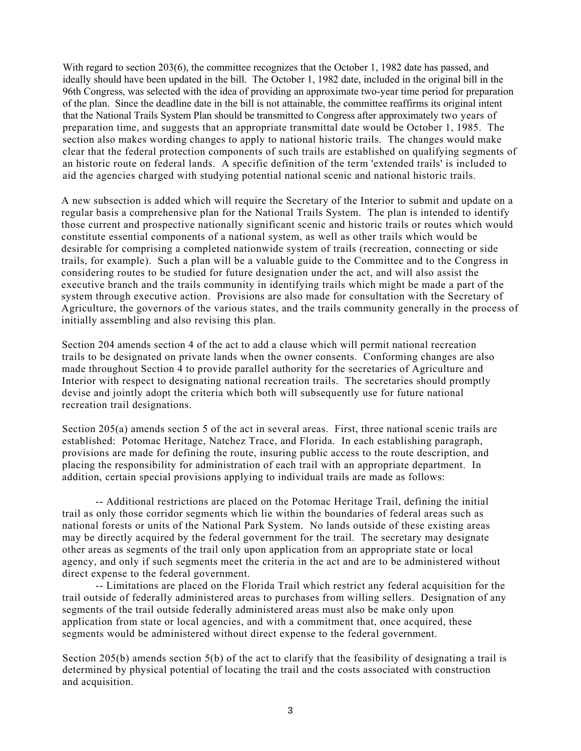With regard to section 203(6), the committee recognizes that the October 1, 1982 date has passed, and ideally should have been updated in the bill. The October 1, 1982 date, included in the original bill in the 96th Congress, was selected with the idea of providing an approximate two-year time period for preparation of the plan. Since the deadline date in the bill is not attainable, the committee reaffirms its original intent that the National Trails System Plan should be transmitted to Congress after approximately two years of preparation time, and suggests that an appropriate transmittal date would be October 1, 1985. The section also makes wording changes to apply to national historic trails. The changes would make clear that the federal protection components of such trails are established on qualifying segments of an historic route on federal lands. A specific definition of the term 'extended trails' is included to aid the agencies charged with studying potential national scenic and national historic trails.

A new subsection is added which will require the Secretary of the Interior to submit and update on a regular basis a comprehensive plan for the National Trails System. The plan is intended to identify those current and prospective nationally significant scenic and historic trails or routes which would constitute essential components of a national system, as well as other trails which would be desirable for comprising a completed nationwide system of trails (recreation, connecting or side trails, for example). Such a plan will be a valuable guide to the Committee and to the Congress in considering routes to be studied for future designation under the act, and will also assist the executive branch and the trails community in identifying trails which might be made a part of the system through executive action. Provisions are also made for consultation with the Secretary of Agriculture, the governors of the various states, and the trails community generally in the process of initially assembling and also revising this plan.

Section 204 amends section 4 of the act to add a clause which will permit national recreation trails to be designated on private lands when the owner consents. Conforming changes are also made throughout Section 4 to provide parallel authority for the secretaries of Agriculture and Interior with respect to designating national recreation trails. The secretaries should promptly devise and jointly adopt the criteria which both will subsequently use for future national recreation trail designations.

Section 205(a) amends section 5 of the act in several areas. First, three national scenic trails are established: Potomac Heritage, Natchez Trace, and Florida. In each establishing paragraph, provisions are made for defining the route, insuring public access to the route description, and placing the responsibility for administration of each trail with an appropriate department. In addition, certain special provisions applying to individual trails are made as follows:

-- Additional restrictions are placed on the Potomac Heritage Trail, defining the initial trail as only those corridor segments which lie within the boundaries of federal areas such as national forests or units of the National Park System. No lands outside of these existing areas may be directly acquired by the federal government for the trail. The secretary may designate other areas as segments of the trail only upon application from an appropriate state or local agency, and only if such segments meet the criteria in the act and are to be administered without direct expense to the federal government.

-- Limitations are placed on the Florida Trail which restrict any federal acquisition for the trail outside of federally administered areas to purchases from willing sellers. Designation of any segments of the trail outside federally administered areas must also be make only upon application from state or local agencies, and with a commitment that, once acquired, these segments would be administered without direct expense to the federal government.

Section 205(b) amends section 5(b) of the act to clarify that the feasibility of designating a trail is determined by physical potential of locating the trail and the costs associated with construction and acquisition.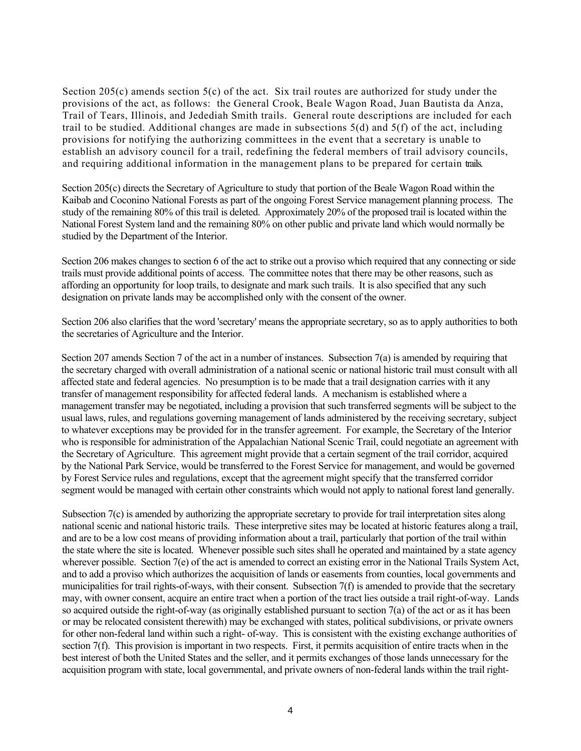Section 205(c) amends section 5(c) of the act. Six trail routes are authorized for study under the provisions of the act, as follows: the General Crook, Beale Wagon Road, Juan Bautista da Anza, Trail of Tears, Illinois, and Jedediah Smith trails. General route descriptions are included for each trail to be studied. Additional changes are made in subsections 5(d) and 5(f) of the act, including provisions for notifying the authorizing committees in the event that a secretary is unable to establish an advisory council for a trail, redefining the federal members of trail advisory councils, and requiring additional information in the management plans to be prepared for certain trails.

Section 205(c) directs the Secretary of Agriculture to study that portion of the Beale Wagon Road within the Kaibab and Coconino National Forests as part of the ongoing Forest Service management planning process. The study of the remaining 80% of this trail is deleted. Approximately 20% of the proposed trail is located within the National Forest System land and the remaining 80% on other public and private land which would normally be studied by the Department of the Interior.

Section 206 makes changes to section 6 of the act to strike out a proviso which required that any connecting or side trails must provide additional points of access. The committee notes that there may be other reasons, such as affording an opportunity for loop trails, to designate and mark such trails. It is also specified that any such designation on private lands may be accomplished only with the consent of the owner.

Section 206 also clarifies that the word 'secretary' means the appropriate secretary, so as to apply authorities to both the secretaries of Agriculture and the Interior.

Section 207 amends Section 7 of the act in a number of instances. Subsection 7(a) is amended by requiring that the secretary charged with overall administration of a national scenic or national historic trail must consult with all affected state and federal agencies. No presumption is to be made that a trail designation carries with it any transfer of management responsibility for affected federal lands. A mechanism is established where a management transfer may be negotiated, including a provision that such transferred segments will be subject to the usual laws, rules, and regulations governing management of lands administered by the receiving secretary, subject to whatever exceptions may be provided for in the transfer agreement. For example, the Secretary of the Interior who is responsible for administration of the Appalachian National Scenic Trail, could negotiate an agreement with the Secretary of Agriculture. This agreement might provide that a certain segment of the trail corridor, acquired by the National Park Service, would be transferred to the Forest Service for management, and would be governed by Forest Service rules and regulations, except that the agreement might specify that the transferred corridor segment would be managed with certain other constraints which would not apply to national forest land generally.

Subsection 7(c) is amended by authorizing the appropriate secretary to provide for trail interpretation sites along national scenic and national historic trails. These interpretive sites may be located at historic features along a trail, and are to be a low cost means of providing information about a trail, particularly that portion of the trail within the state where the site is located. Whenever possible such sites shall he operated and maintained by a state agency wherever possible. Section 7(e) of the act is amended to correct an existing error in the National Trails System Act, and to add a proviso which authorizes the acquisition of lands or easements from counties, local governments and municipalities for trail rights-of-ways, with their consent. Subsection 7(f) is amended to provide that the secretary may, with owner consent, acquire an entire tract when a portion of the tract lies outside a trail right-of-way. Lands so acquired outside the right-of-way (as originally established pursuant to section 7(a) of the act or as it has been or may be relocated consistent therewith) may be exchanged with states, political subdivisions, or private owners for other non-federal land within such a right- of-way. This is consistent with the existing exchange authorities of section 7(f). This provision is important in two respects. First, it permits acquisition of entire tracts when in the best interest of both the United States and the seller, and it permits exchanges of those lands unnecessary for the acquisition program with state, local governmental, and private owners of non-federal lands within the trail right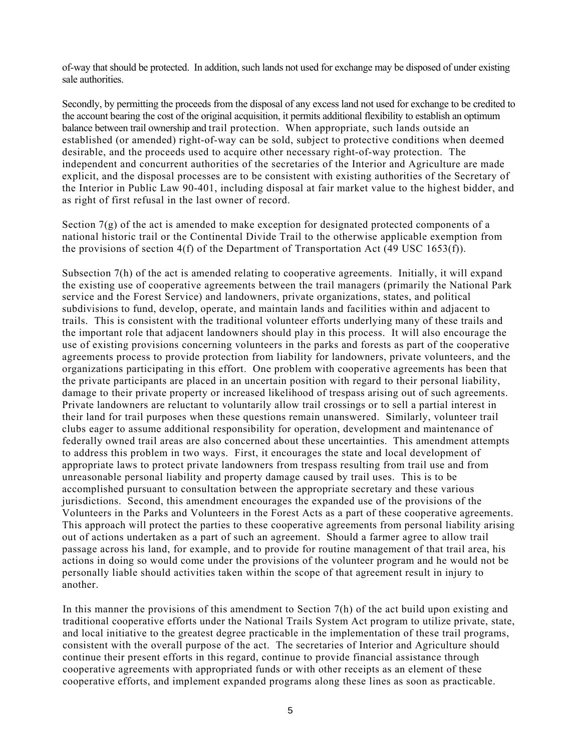of-way that should be protected. In addition, such lands not used for exchange may be disposed of under existing sale authorities.

Secondly, by permitting the proceeds from the disposal of any excess land not used for exchange to be credited to the account bearing the cost of the original acquisition, it permits additional flexibility to establish an optimum balance between trail ownership and trail protection. When appropriate, such lands outside an established (or amended) right-of-way can be sold, subject to protective conditions when deemed desirable, and the proceeds used to acquire other necessary right-of-way protection. The independent and concurrent authorities of the secretaries of the Interior and Agriculture are made explicit, and the disposal processes are to be consistent with existing authorities of the Secretary of the Interior in Public Law 90-401, including disposal at fair market value to the highest bidder, and as right of first refusal in the last owner of record.

Section 7(g) of the act is amended to make exception for designated protected components of a national historic trail or the Continental Divide Trail to the otherwise applicable exemption from the provisions of section  $4(f)$  of the Department of Transportation Act (49 USC 1653 $(f)$ ).

Subsection 7(h) of the act is amended relating to cooperative agreements. Initially, it will expand the existing use of cooperative agreements between the trail managers (primarily the National Park service and the Forest Service) and landowners, private organizations, states, and political subdivisions to fund, develop, operate, and maintain lands and facilities within and adjacent to trails. This is consistent with the traditional volunteer efforts underlying many of these trails and the important role that adjacent landowners should play in this process. It will also encourage the use of existing provisions concerning volunteers in the parks and forests as part of the cooperative agreements process to provide protection from liability for landowners, private volunteers, and the organizations participating in this effort. One problem with cooperative agreements has been that the private participants are placed in an uncertain position with regard to their personal liability, damage to their private property or increased likelihood of trespass arising out of such agreements. Private landowners are reluctant to voluntarily allow trail crossings or to sell a partial interest in their land for trail purposes when these questions remain unanswered. Similarly, volunteer trail clubs eager to assume additional responsibility for operation, development and maintenance of federally owned trail areas are also concerned about these uncertainties. This amendment attempts to address this problem in two ways. First, it encourages the state and local development of appropriate laws to protect private landowners from trespass resulting from trail use and from unreasonable personal liability and property damage caused by trail uses. This is to be accomplished pursuant to consultation between the appropriate secretary and these various jurisdictions. Second, this amendment encourages the expanded use of the provisions of the Volunteers in the Parks and Volunteers in the Forest Acts as a part of these cooperative agreements. This approach will protect the parties to these cooperative agreements from personal liability arising out of actions undertaken as a part of such an agreement. Should a farmer agree to allow trail passage across his land, for example, and to provide for routine management of that trail area, his actions in doing so would come under the provisions of the volunteer program and he would not be personally liable should activities taken within the scope of that agreement result in injury to another.

In this manner the provisions of this amendment to Section 7(h) of the act build upon existing and traditional cooperative efforts under the National Trails System Act program to utilize private, state, and local initiative to the greatest degree practicable in the implementation of these trail programs, consistent with the overall purpose of the act. The secretaries of Interior and Agriculture should continue their present efforts in this regard, continue to provide financial assistance through cooperative agreements with appropriated funds or with other receipts as an element of these cooperative efforts, and implement expanded programs along these lines as soon as practicable.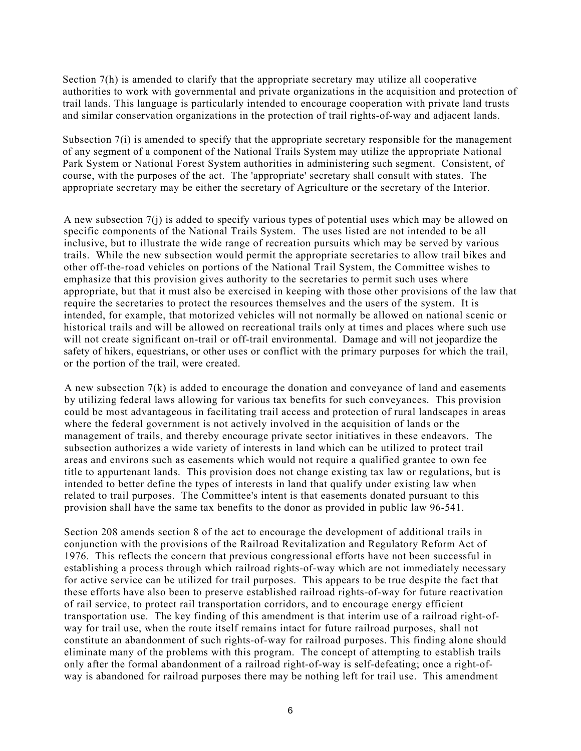Section 7(h) is amended to clarify that the appropriate secretary may utilize all cooperative authorities to work with governmental and private organizations in the acquisition and protection of trail lands. This language is particularly intended to encourage cooperation with private land trusts and similar conservation organizations in the protection of trail rights-of-way and adjacent lands.

Subsection 7(i) is amended to specify that the appropriate secretary responsible for the management of any segment of a component of the National Trails System may utilize the appropriate National Park System or National Forest System authorities in administering such segment. Consistent, of course, with the purposes of the act. The 'appropriate' secretary shall consult with states. The appropriate secretary may be either the secretary of Agriculture or the secretary of the Interior.

A new subsection 7(j) is added to specify various types of potential uses which may be allowed on specific components of the National Trails System. The uses listed are not intended to be all inclusive, but to illustrate the wide range of recreation pursuits which may be served by various trails. While the new subsection would permit the appropriate secretaries to allow trail bikes and other off-the-road vehicles on portions of the National Trail System, the Committee wishes to emphasize that this provision gives authority to the secretaries to permit such uses where appropriate, but that it must also be exercised in keeping with those other provisions of the law that require the secretaries to protect the resources themselves and the users of the system. It is intended, for example, that motorized vehicles will not normally be allowed on national scenic or historical trails and will be allowed on recreational trails only at times and places where such use will not create significant on-trail or off-trail environmental. Damage and will not jeopardize the safety of hikers, equestrians, or other uses or conflict with the primary purposes for which the trail, or the portion of the trail, were created.

A new subsection  $7(k)$  is added to encourage the donation and conveyance of land and easements by utilizing federal laws allowing for various tax benefits for such conveyances. This provision could be most advantageous in facilitating trail access and protection of rural landscapes in areas where the federal government is not actively involved in the acquisition of lands or the management of trails, and thereby encourage private sector initiatives in these endeavors. The subsection authorizes a wide variety of interests in land which can be utilized to protect trail areas and environs such as easements which would not require a qualified grantee to own fee title to appurtenant lands. This provision does not change existing tax law or regulations, but is intended to better define the types of interests in land that qualify under existing law when related to trail purposes. The Committee's intent is that easements donated pursuant to this provision shall have the same tax benefits to the donor as provided in public law 96-541.

Section 208 amends section 8 of the act to encourage the development of additional trails in conjunction with the provisions of the Railroad Revitalization and Regulatory Reform Act of 1976. This reflects the concern that previous congressional efforts have not been successful in establishing a process through which railroad rights-of-way which are not immediately necessary for active service can be utilized for trail purposes. This appears to be true despite the fact that these efforts have also been to preserve established railroad rights-of-way for future reactivation of rail service, to protect rail transportation corridors, and to encourage energy efficient transportation use. The key finding of this amendment is that interim use of a railroad right-ofway for trail use, when the route itself remains intact for future railroad purposes, shall not constitute an abandonment of such rights-of-way for railroad purposes. This finding alone should eliminate many of the problems with this program. The concept of attempting to establish trails only after the formal abandonment of a railroad right-of-way is self-defeating; once a right-ofway is abandoned for railroad purposes there may be nothing left for trail use. This amendment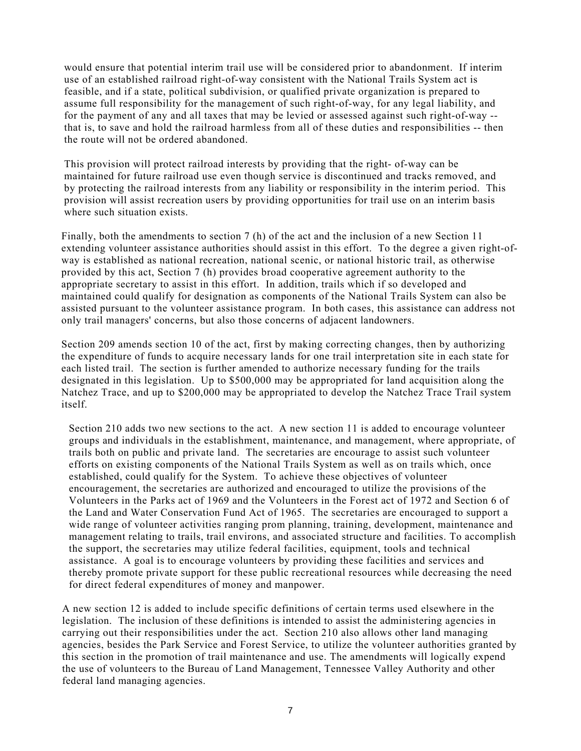would ensure that potential interim trail use will be considered prior to abandonment. If interim use of an established railroad right-of-way consistent with the National Trails System act is feasible, and if a state, political subdivision, or qualified private organization is prepared to assume full responsibility for the management of such right-of-way, for any legal liability, and for the payment of any and all taxes that may be levied or assessed against such right-of-way - that is, to save and hold the railroad harmless from all of these duties and responsibilities -- then the route will not be ordered abandoned.

This provision will protect railroad interests by providing that the right- of-way can be maintained for future railroad use even though service is discontinued and tracks removed, and by protecting the railroad interests from any liability or responsibility in the interim period. This provision will assist recreation users by providing opportunities for trail use on an interim basis where such situation exists.

Finally, both the amendments to section 7 (h) of the act and the inclusion of a new Section 11 extending volunteer assistance authorities should assist in this effort. To the degree a given right-ofway is established as national recreation, national scenic, or national historic trail, as otherwise provided by this act, Section 7 (h) provides broad cooperative agreement authority to the appropriate secretary to assist in this effort. In addition, trails which if so developed and maintained could qualify for designation as components of the National Trails System can also be assisted pursuant to the volunteer assistance program. In both cases, this assistance can address not only trail managers' concerns, but also those concerns of adjacent landowners.

Section 209 amends section 10 of the act, first by making correcting changes, then by authorizing the expenditure of funds to acquire necessary lands for one trail interpretation site in each state for each listed trail. The section is further amended to authorize necessary funding for the trails designated in this legislation. Up to \$500,000 may be appropriated for land acquisition along the Natchez Trace, and up to \$200,000 may be appropriated to develop the Natchez Trace Trail system itself.

Section 210 adds two new sections to the act. A new section 11 is added to encourage volunteer groups and individuals in the establishment, maintenance, and management, where appropriate, of trails both on public and private land. The secretaries are encourage to assist such volunteer efforts on existing components of the National Trails System as well as on trails which, once established, could qualify for the System. To achieve these objectives of volunteer encouragement, the secretaries are authorized and encouraged to utilize the provisions of the Volunteers in the Parks act of 1969 and the Volunteers in the Forest act of 1972 and Section 6 of the Land and Water Conservation Fund Act of 1965. The secretaries are encouraged to support a wide range of volunteer activities ranging prom planning, training, development, maintenance and management relating to trails, trail environs, and associated structure and facilities. To accomplish the support, the secretaries may utilize federal facilities, equipment, tools and technical assistance. A goal is to encourage volunteers by providing these facilities and services and thereby promote private support for these public recreational resources while decreasing the need for direct federal expenditures of money and manpower.

A new section 12 is added to include specific definitions of certain terms used elsewhere in the legislation. The inclusion of these definitions is intended to assist the administering agencies in carrying out their responsibilities under the act. Section 210 also allows other land managing agencies, besides the Park Service and Forest Service, to utilize the volunteer authorities granted by this section in the promotion of trail maintenance and use. The amendments will logically expend the use of volunteers to the Bureau of Land Management, Tennessee Valley Authority and other federal land managing agencies.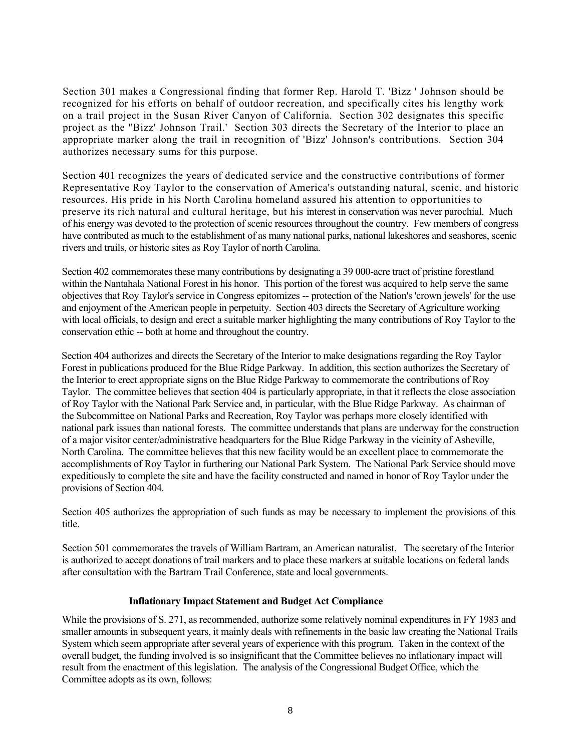Section 301 makes a Congressional finding that former Rep. Harold T. 'Bizz ' Johnson should be recognized for his efforts on behalf of outdoor recreation, and specifically cites his lengthy work on a trail project in the Susan River Canyon of California. Section 302 designates this specific project as the ''Bizz' Johnson Trail.' Section 303 directs the Secretary of the Interior to place an appropriate marker along the trail in recognition of 'Bizz' Johnson's contributions. Section 304 authorizes necessary sums for this purpose.

Section 401 recognizes the years of dedicated service and the constructive contributions of former Representative Roy Taylor to the conservation of America's outstanding natural, scenic, and historic resources. His pride in his North Carolina homeland assured his attention to opportunities to preserve its rich natural and cultural heritage, but his interest in conservation was never parochial. Much of his energy was devoted to the protection of scenic resources throughout the country. Few members of congress have contributed as much to the establishment of as many national parks, national lakeshores and seashores, scenic rivers and trails, or historic sites as Roy Taylor of north Carolina.

Section 402 commemorates these many contributions by designating a 39 000-acre tract of pristine forestland within the Nantahala National Forest in his honor. This portion of the forest was acquired to help serve the same objectives that Roy Taylor's service in Congress epitomizes -- protection of the Nation's 'crown jewels' for the use and enjoyment of the American people in perpetuity. Section 403 directs the Secretary of Agriculture working with local officials, to design and erect a suitable marker highlighting the many contributions of Roy Taylor to the conservation ethic -- both at home and throughout the country.

Section 404 authorizes and directs the Secretary of the Interior to make designations regarding the Roy Taylor Forest in publications produced for the Blue Ridge Parkway. In addition, this section authorizes the Secretary of the Interior to erect appropriate signs on the Blue Ridge Parkway to commemorate the contributions of Roy Taylor. The committee believes that section 404 is particularly appropriate, in that it reflects the close association of Roy Taylor with the National Park Service and, in particular, with the Blue Ridge Parkway. As chairman of the Subcommittee on National Parks and Recreation, Roy Taylor was perhaps more closely identified with national park issues than national forests. The committee understands that plans are underway for the construction of a major visitor center/administrative headquarters for the Blue Ridge Parkway in the vicinity of Asheville, North Carolina. The committee believes that this new facility would be an excellent place to commemorate the accomplishments of Roy Taylor in furthering our National Park System. The National Park Service should move expeditiously to complete the site and have the facility constructed and named in honor of Roy Taylor under the provisions of Section 404.

Section 405 authorizes the appropriation of such funds as may be necessary to implement the provisions of this title.

Section 501 commemorates the travels of William Bartram, an American naturalist. The secretary of the Interior is authorized to accept donations of trail markers and to place these markers at suitable locations on federal lands after consultation with the Bartram Trail Conference, state and local governments.

# **Inflationary Impact Statement and Budget Act Compliance**

While the provisions of S. 271, as recommended, authorize some relatively nominal expenditures in FY 1983 and smaller amounts in subsequent years, it mainly deals with refinements in the basic law creating the National Trails System which seem appropriate after several years of experience with this program. Taken in the context of the overall budget, the funding involved is so insignificant that the Committee believes no inflationary impact will result from the enactment of this legislation. The analysis of the Congressional Budget Office, which the Committee adopts as its own, follows: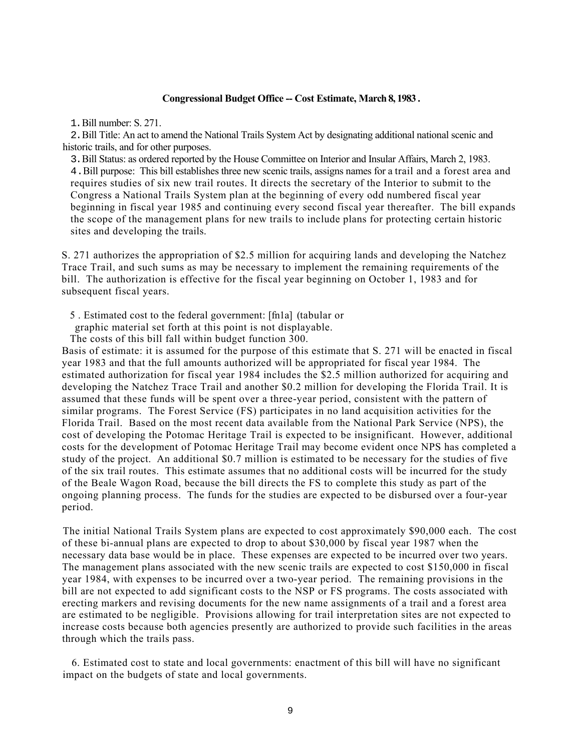## **Congressional Budget Office -- Cost Estimate, March 8, 1983 .**

1.Bill number: S. 271.

2. Bill Title: An act to amend the National Trails System Act by designating additional national scenic and historic trails, and for other purposes.

3. Bill Status: as ordered reported by the House Committee on Interior and Insular Affairs, March 2, 1983. 4.Bill purpose: This bill establishes three new scenic trails, assigns names for a trail and a forest area and requires studies of six new trail routes. It directs the secretary of the Interior to submit to the Congress a National Trails System plan at the beginning of every odd numbered fiscal year beginning in fiscal year 1985 and continuing every second fiscal year thereafter. The bill expands the scope of the management plans for new trails to include plans for protecting certain historic sites and developing the trails.

S. 271 authorizes the appropriation of \$2.5 million for acquiring lands and developing the Natchez Trace Trail, and such sums as may be necessary to implement the remaining requirements of the bill. The authorization is effective for the fiscal year beginning on October 1, 1983 and for subsequent fiscal years.

5 . Estimated cost to the federal government: [fn1a] (tabular or

graphic material set forth at this point is not displayable.

The costs of this bill fall within budget function 300.

Basis of estimate: it is assumed for the purpose of this estimate that S. 271 will be enacted in fiscal year 1983 and that the full amounts authorized will be appropriated for fiscal year 1984. The estimated authorization for fiscal year 1984 includes the \$2.5 million authorized for acquiring and developing the Natchez Trace Trail and another \$0.2 million for developing the Florida Trail. It is assumed that these funds will be spent over a three-year period, consistent with the pattern of similar programs. The Forest Service (FS) participates in no land acquisition activities for the Florida Trail. Based on the most recent data available from the National Park Service (NPS), the cost of developing the Potomac Heritage Trail is expected to be insignificant. However, additional costs for the development of Potomac Heritage Trail may become evident once NPS has completed a study of the project. An additional \$0.7 million is estimated to be necessary for the studies of five of the six trail routes. This estimate assumes that no additional costs will be incurred for the study of the Beale Wagon Road, because the bill directs the FS to complete this study as part of the ongoing planning process. The funds for the studies are expected to be disbursed over a four-year period.

The initial National Trails System plans are expected to cost approximately \$90,000 each. The cost of these bi-annual plans are expected to drop to about \$30,000 by fiscal year 1987 when the necessary data base would be in place. These expenses are expected to be incurred over two years. The management plans associated with the new scenic trails are expected to cost \$150,000 in fiscal year 1984, with expenses to be incurred over a two-year period. The remaining provisions in the bill are not expected to add significant costs to the NSP or FS programs. The costs associated with erecting markers and revising documents for the new name assignments of a trail and a forest area are estimated to be negligible. Provisions allowing for trail interpretation sites are not expected to increase costs because both agencies presently are authorized to provide such facilities in the areas through which the trails pass.

 6. Estimated cost to state and local governments: enactment of this bill will have no significant impact on the budgets of state and local governments.